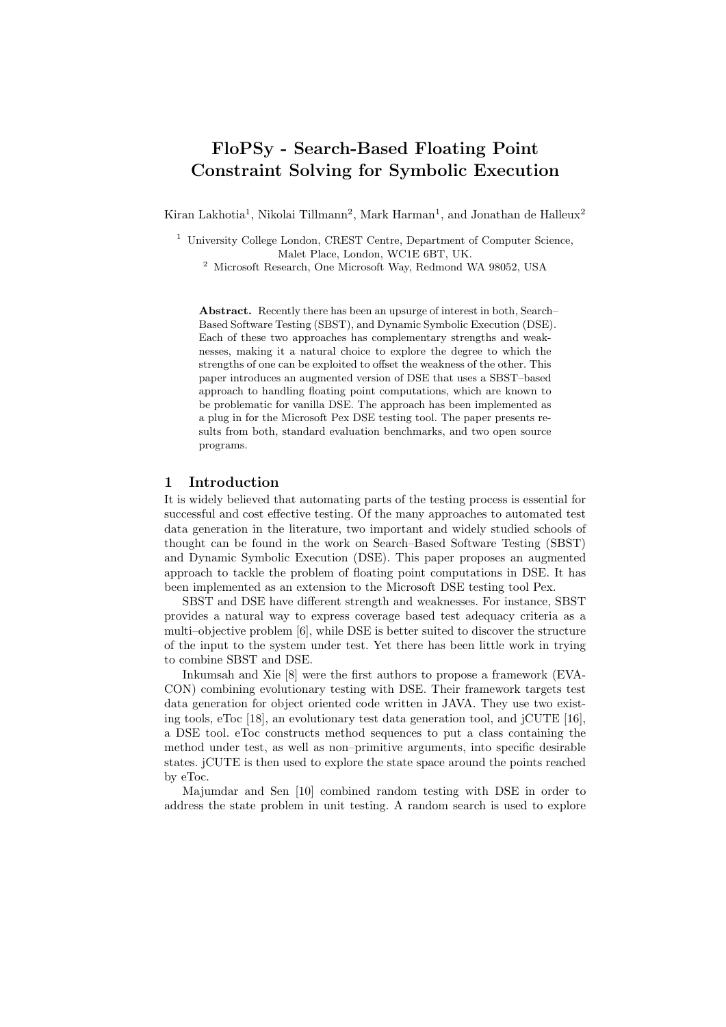# **FloPSy - Search-Based Floating Point Constraint Solving for Symbolic Execution**

Kiran Lakhotia<sup>1</sup>, Nikolai Tillmann<sup>2</sup>, Mark Harman<sup>1</sup>, and Jonathan de Halleux<sup>2</sup>

<sup>1</sup> University College London, CREST Centre, Department of Computer Science, Malet Place, London, WC1E 6BT, UK.

<sup>2</sup> Microsoft Research, One Microsoft Way, Redmond WA 98052, USA

**Abstract.** Recently there has been an upsurge of interest in both, Search– Based Software Testing (SBST), and Dynamic Symbolic Execution (DSE). Each of these two approaches has complementary strengths and weaknesses, making it a natural choice to explore the degree to which the strengths of one can be exploited to offset the weakness of the other. This paper introduces an augmented version of DSE that uses a SBST–based approach to handling floating point computations, which are known to be problematic for vanilla DSE. The approach has been implemented as a plug in for the Microsoft Pex DSE testing tool. The paper presents results from both, standard evaluation benchmarks, and two open source programs.

# **1 Introduction**

It is widely believed that automating parts of the testing process is essential for successful and cost effective testing. Of the many approaches to automated test data generation in the literature, two important and widely studied schools of thought can be found in the work on Search–Based Software Testing (SBST) and Dynamic Symbolic Execution (DSE). This paper proposes an augmented approach to tackle the problem of floating point computations in DSE. It has been implemented as an extension to the Microsoft DSE testing tool Pex.

SBST and DSE have different strength and weaknesses. For instance, SBST provides a natural way to express coverage based test adequacy criteria as a multi–objective problem [6], while DSE is better suited to discover the structure of the input to the system under test. Yet there has been little work in trying to combine SBST and DSE.

Inkumsah and Xie [8] were the first authors to propose a framework (EVA-CON) combining evolutionary testing with DSE. Their framework targets test data generation for object oriented code written in JAVA. They use two existing tools, eToc [18], an evolutionary test data generation tool, and jCUTE [16], a DSE tool. eToc constructs method sequences to put a class containing the method under test, as well as non–primitive arguments, into specific desirable states. jCUTE is then used to explore the state space around the points reached by eToc.

Majumdar and Sen [10] combined random testing with DSE in order to address the state problem in unit testing. A random search is used to explore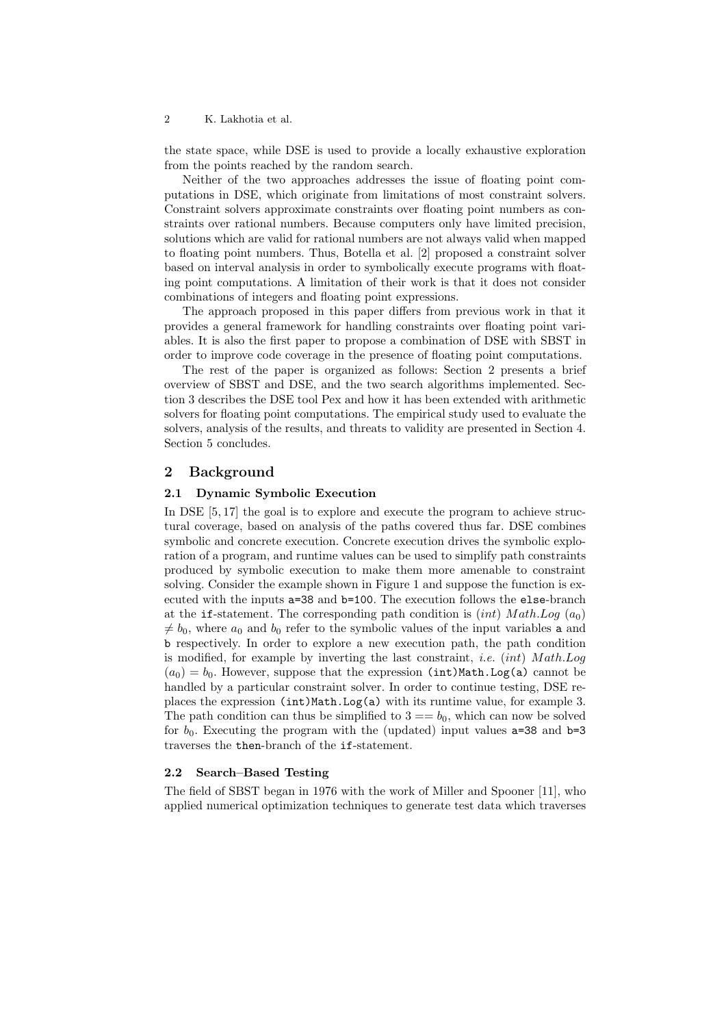the state space, while DSE is used to provide a locally exhaustive exploration from the points reached by the random search.

Neither of the two approaches addresses the issue of floating point computations in DSE, which originate from limitations of most constraint solvers. Constraint solvers approximate constraints over floating point numbers as constraints over rational numbers. Because computers only have limited precision, solutions which are valid for rational numbers are not always valid when mapped to floating point numbers. Thus, Botella et al. [2] proposed a constraint solver based on interval analysis in order to symbolically execute programs with floating point computations. A limitation of their work is that it does not consider combinations of integers and floating point expressions.

The approach proposed in this paper differs from previous work in that it provides a general framework for handling constraints over floating point variables. It is also the first paper to propose a combination of DSE with SBST in order to improve code coverage in the presence of floating point computations.

The rest of the paper is organized as follows: Section 2 presents a brief overview of SBST and DSE, and the two search algorithms implemented. Section 3 describes the DSE tool Pex and how it has been extended with arithmetic solvers for floating point computations. The empirical study used to evaluate the solvers, analysis of the results, and threats to validity are presented in Section 4. Section 5 concludes.

# **2 Background**

# **2.1 Dynamic Symbolic Execution**

In DSE [5, 17] the goal is to explore and execute the program to achieve structural coverage, based on analysis of the paths covered thus far. DSE combines symbolic and concrete execution. Concrete execution drives the symbolic exploration of a program, and runtime values can be used to simplify path constraints produced by symbolic execution to make them more amenable to constraint solving. Consider the example shown in Figure 1 and suppose the function is executed with the inputs a=38 and b=100. The execution follows the else-branch at the if-statement. The corresponding path condition is (*int*) *M ath.Log* (*a*0)  $\neq$  *b*<sub>0</sub>, where  $a_0$  and  $b_0$  refer to the symbolic values of the input variables a and b respectively. In order to explore a new execution path, the path condition is modified, for example by inverting the last constraint, *i.e.* (*int*) *M ath.Log*  $(a_0) = b_0$ . However, suppose that the expression (int)Math.Log(a) cannot be handled by a particular constraint solver. In order to continue testing, DSE replaces the expression  $(int)$ Math.Log(a) with its runtime value, for example 3. The path condition can thus be simplified to  $3 == b_0$ , which can now be solved for  $b_0$ . Executing the program with the (updated) input values  $a=38$  and  $b=3$ traverses the then-branch of the if-statement.

## **2.2 Search–Based Testing**

The field of SBST began in 1976 with the work of Miller and Spooner [11], who applied numerical optimization techniques to generate test data which traverses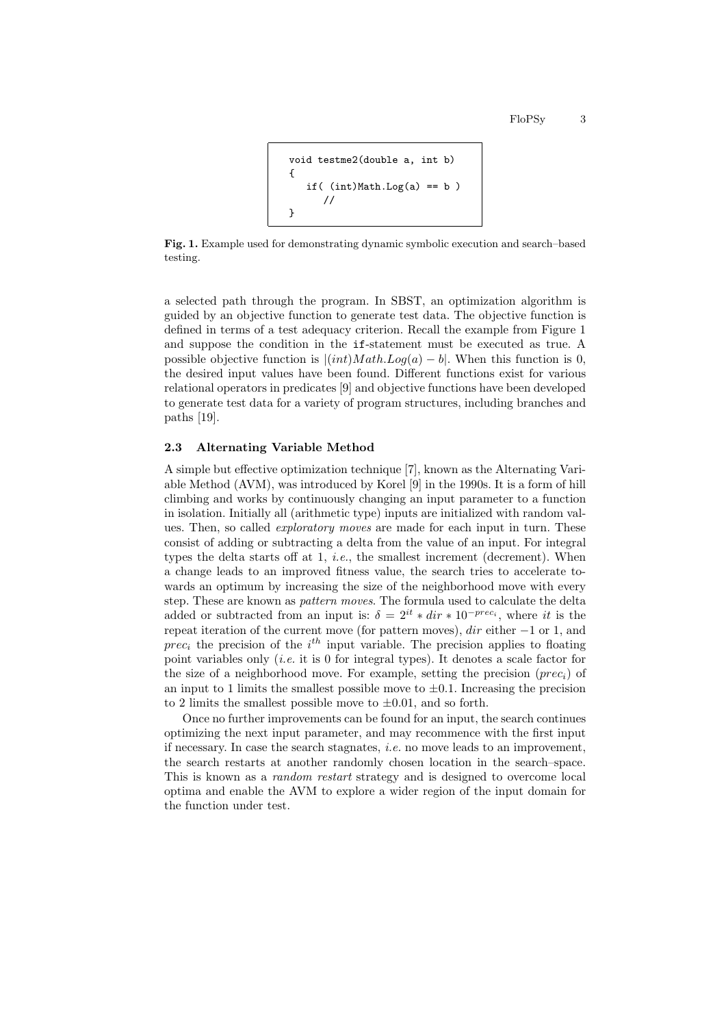```
void testme2(double a, int b)
{
   if( (int)Math.Log(a) == b)
      //
}
```
**Fig. 1.** Example used for demonstrating dynamic symbolic execution and search–based testing.

a selected path through the program. In SBST, an optimization algorithm is guided by an objective function to generate test data. The objective function is defined in terms of a test adequacy criterion. Recall the example from Figure 1 and suppose the condition in the if-statement must be executed as true. A possible objective function is  $|$ (*int*)*Math.Log*(*a*) *− b|*. When this function is 0, the desired input values have been found. Different functions exist for various relational operators in predicates [9] and objective functions have been developed to generate test data for a variety of program structures, including branches and paths [19].

## **2.3 Alternating Variable Method**

A simple but effective optimization technique [7], known as the Alternating Variable Method (AVM), was introduced by Korel [9] in the 1990s. It is a form of hill climbing and works by continuously changing an input parameter to a function in isolation. Initially all (arithmetic type) inputs are initialized with random values. Then, so called *exploratory moves* are made for each input in turn. These consist of adding or subtracting a delta from the value of an input. For integral types the delta starts off at 1, *i.e.*, the smallest increment (decrement). When a change leads to an improved fitness value, the search tries to accelerate towards an optimum by increasing the size of the neighborhood move with every step. These are known as *pattern moves*. The formula used to calculate the delta added or subtracted from an input is:  $\delta = 2^{it} * dir * 10^{-prec_i}$ , where *it* is the repeat iteration of the current move (for pattern moves), *dir* either *−*1 or 1, and  $prec_i$  the precision of the  $i^{th}$  input variable. The precision applies to floating point variables only (*i.e.* it is 0 for integral types). It denotes a scale factor for the size of a neighborhood move. For example, setting the precision (*preci*) of an input to 1 limits the smallest possible move to  $\pm 0.1$ . Increasing the precision to 2 limits the smallest possible move to *±*0*.*01, and so forth.

Once no further improvements can be found for an input, the search continues optimizing the next input parameter, and may recommence with the first input if necessary. In case the search stagnates, *i.e.* no move leads to an improvement, the search restarts at another randomly chosen location in the search–space. This is known as a *random restart* strategy and is designed to overcome local optima and enable the AVM to explore a wider region of the input domain for the function under test.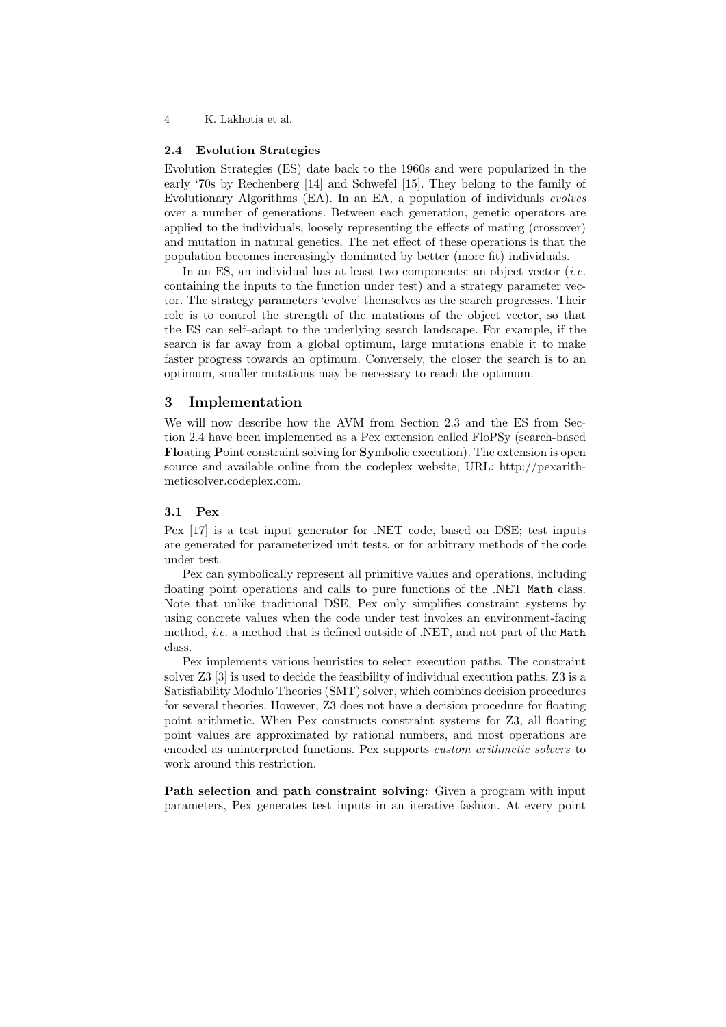## **2.4 Evolution Strategies**

Evolution Strategies (ES) date back to the 1960s and were popularized in the early '70s by Rechenberg [14] and Schwefel [15]. They belong to the family of Evolutionary Algorithms (EA). In an EA, a population of individuals *evolves* over a number of generations. Between each generation, genetic operators are applied to the individuals, loosely representing the effects of mating (crossover) and mutation in natural genetics. The net effect of these operations is that the population becomes increasingly dominated by better (more fit) individuals.

In an ES, an individual has at least two components: an object vector (*i.e.* containing the inputs to the function under test) and a strategy parameter vector. The strategy parameters 'evolve' themselves as the search progresses. Their role is to control the strength of the mutations of the object vector, so that the ES can self–adapt to the underlying search landscape. For example, if the search is far away from a global optimum, large mutations enable it to make faster progress towards an optimum. Conversely, the closer the search is to an optimum, smaller mutations may be necessary to reach the optimum.

## **3 Implementation**

We will now describe how the AVM from Section 2.3 and the ES from Section 2.4 have been implemented as a Pex extension called FloPSy (search-based **Flo**ating **P**oint constraint solving for **Sy**mbolic execution). The extension is open source and available online from the codeplex website; URL: http://pexarithmeticsolver.codeplex.com.

## **3.1 Pex**

Pex [17] is a test input generator for .NET code, based on DSE; test inputs are generated for parameterized unit tests, or for arbitrary methods of the code under test.

Pex can symbolically represent all primitive values and operations, including floating point operations and calls to pure functions of the .NET Math class. Note that unlike traditional DSE, Pex only simplifies constraint systems by using concrete values when the code under test invokes an environment-facing method, *i.e.* a method that is defined outside of .NET, and not part of the Math class.

Pex implements various heuristics to select execution paths. The constraint solver Z3 [3] is used to decide the feasibility of individual execution paths. Z3 is a Satisfiability Modulo Theories (SMT) solver, which combines decision procedures for several theories. However, Z3 does not have a decision procedure for floating point arithmetic. When Pex constructs constraint systems for Z3, all floating point values are approximated by rational numbers, and most operations are encoded as uninterpreted functions. Pex supports *custom arithmetic solvers* to work around this restriction.

**Path selection and path constraint solving:** Given a program with input parameters, Pex generates test inputs in an iterative fashion. At every point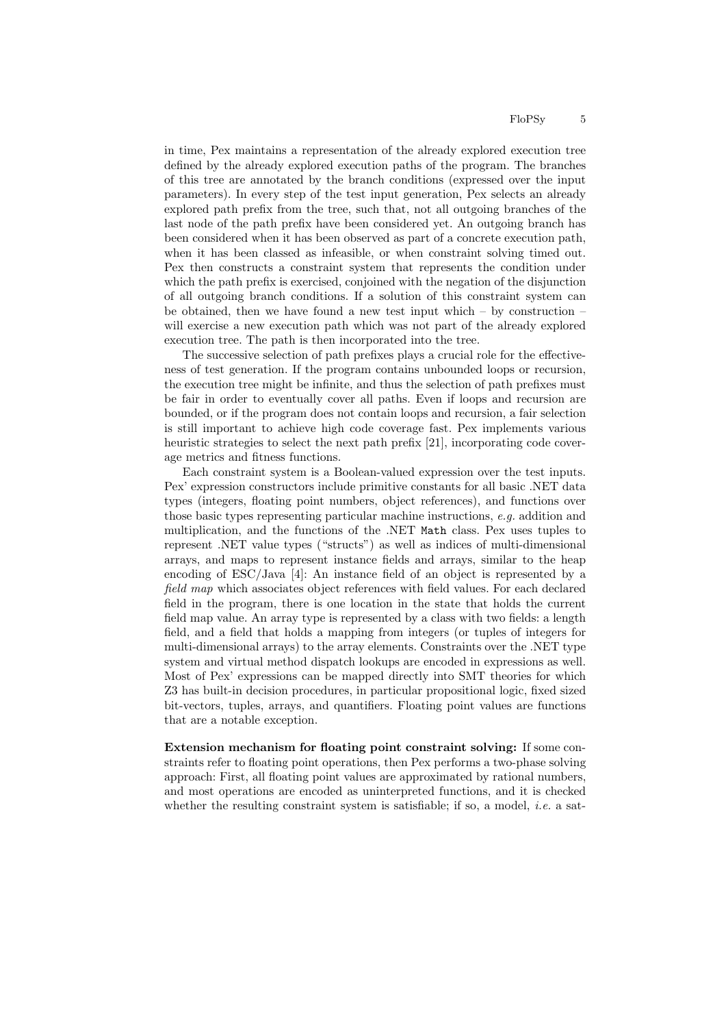in time, Pex maintains a representation of the already explored execution tree defined by the already explored execution paths of the program. The branches of this tree are annotated by the branch conditions (expressed over the input parameters). In every step of the test input generation, Pex selects an already explored path prefix from the tree, such that, not all outgoing branches of the last node of the path prefix have been considered yet. An outgoing branch has been considered when it has been observed as part of a concrete execution path, when it has been classed as infeasible, or when constraint solving timed out. Pex then constructs a constraint system that represents the condition under which the path prefix is exercised, conjoined with the negation of the disjunction of all outgoing branch conditions. If a solution of this constraint system can be obtained, then we have found a new test input which  $-$  by construction  $$ will exercise a new execution path which was not part of the already explored execution tree. The path is then incorporated into the tree.

The successive selection of path prefixes plays a crucial role for the effectiveness of test generation. If the program contains unbounded loops or recursion, the execution tree might be infinite, and thus the selection of path prefixes must be fair in order to eventually cover all paths. Even if loops and recursion are bounded, or if the program does not contain loops and recursion, a fair selection is still important to achieve high code coverage fast. Pex implements various heuristic strategies to select the next path prefix [21], incorporating code coverage metrics and fitness functions.

Each constraint system is a Boolean-valued expression over the test inputs. Pex' expression constructors include primitive constants for all basic .NET data types (integers, floating point numbers, object references), and functions over those basic types representing particular machine instructions, *e.g.* addition and multiplication, and the functions of the .NET Math class. Pex uses tuples to represent .NET value types ("structs") as well as indices of multi-dimensional arrays, and maps to represent instance fields and arrays, similar to the heap encoding of ESC/Java [4]: An instance field of an object is represented by a *field map* which associates object references with field values. For each declared field in the program, there is one location in the state that holds the current field map value. An array type is represented by a class with two fields: a length field, and a field that holds a mapping from integers (or tuples of integers for multi-dimensional arrays) to the array elements. Constraints over the .NET type system and virtual method dispatch lookups are encoded in expressions as well. Most of Pex' expressions can be mapped directly into SMT theories for which Z3 has built-in decision procedures, in particular propositional logic, fixed sized bit-vectors, tuples, arrays, and quantifiers. Floating point values are functions that are a notable exception.

**Extension mechanism for floating point constraint solving:** If some constraints refer to floating point operations, then Pex performs a two-phase solving approach: First, all floating point values are approximated by rational numbers, and most operations are encoded as uninterpreted functions, and it is checked whether the resulting constraint system is satisfiable; if so, a model, *i.e.* a sat-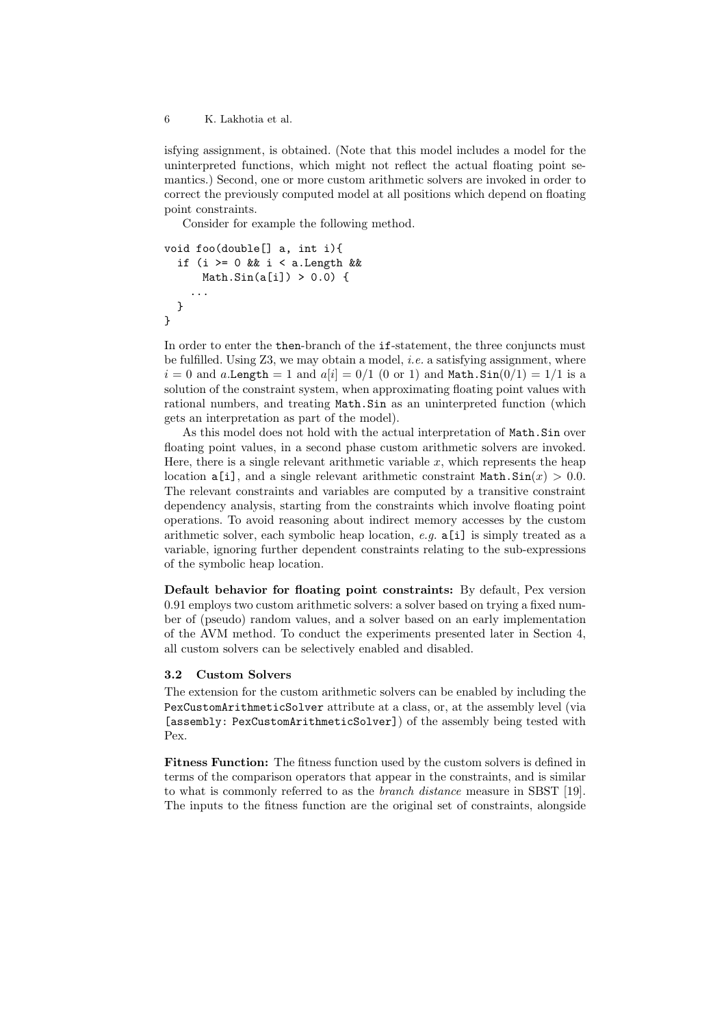isfying assignment, is obtained. (Note that this model includes a model for the uninterpreted functions, which might not reflect the actual floating point semantics.) Second, one or more custom arithmetic solvers are invoked in order to correct the previously computed model at all positions which depend on floating point constraints.

Consider for example the following method.

```
void foo(double[] a, int i){
  if (i \ge 0 & k \le i \le a. Length & kMath.Sin(a[i]) > 0.0 {
    ...
  }
}
```
In order to enter the then-branch of the if-statement, the three conjuncts must be fulfilled. Using Z3, we may obtain a model, *i.e.* a satisfying assignment, where  $i = 0$  and *a*.Length = 1 and  $a[i] = 0/1$  (0 or 1) and Math.Sin(0/1) = 1/1 is a solution of the constraint system, when approximating floating point values with rational numbers, and treating Math.Sin as an uninterpreted function (which gets an interpretation as part of the model).

As this model does not hold with the actual interpretation of Math.Sin over floating point values, in a second phase custom arithmetic solvers are invoked. Here, there is a single relevant arithmetic variable *x*, which represents the heap location  $a[i]$ , and a single relevant arithmetic constraint  $Math.Sin(x) > 0.0$ . The relevant constraints and variables are computed by a transitive constraint dependency analysis, starting from the constraints which involve floating point operations. To avoid reasoning about indirect memory accesses by the custom arithmetic solver, each symbolic heap location, *e.g.* a[i] is simply treated as a variable, ignoring further dependent constraints relating to the sub-expressions of the symbolic heap location.

**Default behavior for floating point constraints:** By default, Pex version 0.91 employs two custom arithmetic solvers: a solver based on trying a fixed number of (pseudo) random values, and a solver based on an early implementation of the AVM method. To conduct the experiments presented later in Section 4, all custom solvers can be selectively enabled and disabled.

## **3.2 Custom Solvers**

The extension for the custom arithmetic solvers can be enabled by including the PexCustomArithmeticSolver attribute at a class, or, at the assembly level (via [assembly: PexCustomArithmeticSolver]) of the assembly being tested with Pex.

**Fitness Function:** The fitness function used by the custom solvers is defined in terms of the comparison operators that appear in the constraints, and is similar to what is commonly referred to as the *branch distance* measure in SBST [19]. The inputs to the fitness function are the original set of constraints, alongside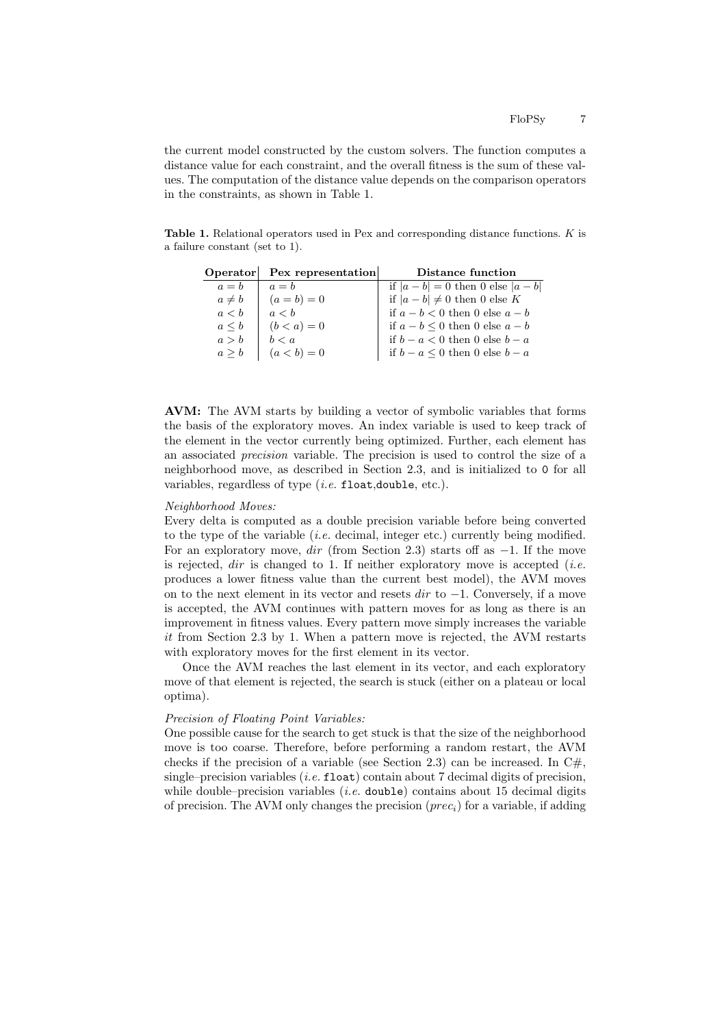the current model constructed by the custom solvers. The function computes a distance value for each constraint, and the overall fitness is the sum of these values. The computation of the distance value depends on the comparison operators in the constraints, as shown in Table 1.

**Table 1.** Relational operators used in Pex and corresponding distance functions. *K* is a failure constant (set to 1).

| Operator   | Pex representation | Distance function                     |
|------------|--------------------|---------------------------------------|
| $a = b$    | $a = b$            | if $ a-b =0$ then 0 else $ a-b $      |
| $a \neq b$ | $(a = b) = 0$      | if $ a-b  \neq 0$ then 0 else K       |
| a < b      | a < b              | if $a - b < 0$ then 0 else $a - b$    |
| $a \leq b$ | $(b < a) = 0$      | if $a - b \leq 0$ then 0 else $a - b$ |
| a > b      | b < a              | if $b - a < 0$ then 0 else $b - a$    |
| a > b      | $(a < b) = 0$      | if $b - a \leq 0$ then 0 else $b - a$ |

**AVM:** The AVM starts by building a vector of symbolic variables that forms the basis of the exploratory moves. An index variable is used to keep track of the element in the vector currently being optimized. Further, each element has an associated *precision* variable. The precision is used to control the size of a neighborhood move, as described in Section 2.3, and is initialized to 0 for all variables, regardless of type (*i.e.* float,double, etc.).

#### *Neighborhood Moves:*

Every delta is computed as a double precision variable before being converted to the type of the variable (*i.e.* decimal, integer etc.) currently being modified. For an exploratory move, *dir* (from Section 2.3) starts off as *−*1. If the move is rejected, *dir* is changed to 1. If neither exploratory move is accepted (*i.e.* produces a lower fitness value than the current best model), the AVM moves on to the next element in its vector and resets *dir* to *−*1. Conversely, if a move is accepted, the AVM continues with pattern moves for as long as there is an improvement in fitness values. Every pattern move simply increases the variable *it* from Section 2.3 by 1. When a pattern move is rejected, the AVM restarts with exploratory moves for the first element in its vector.

Once the AVM reaches the last element in its vector, and each exploratory move of that element is rejected, the search is stuck (either on a plateau or local optima).

#### *Precision of Floating Point Variables:*

One possible cause for the search to get stuck is that the size of the neighborhood move is too coarse. Therefore, before performing a random restart, the AVM checks if the precision of a variable (see Section 2.3) can be increased. In  $C\#$ , single–precision variables (*i.e.* float) contain about 7 decimal digits of precision, while double–precision variables *(i.e.* double) contains about 15 decimal digits of precision. The AVM only changes the precision (*preci*) for a variable, if adding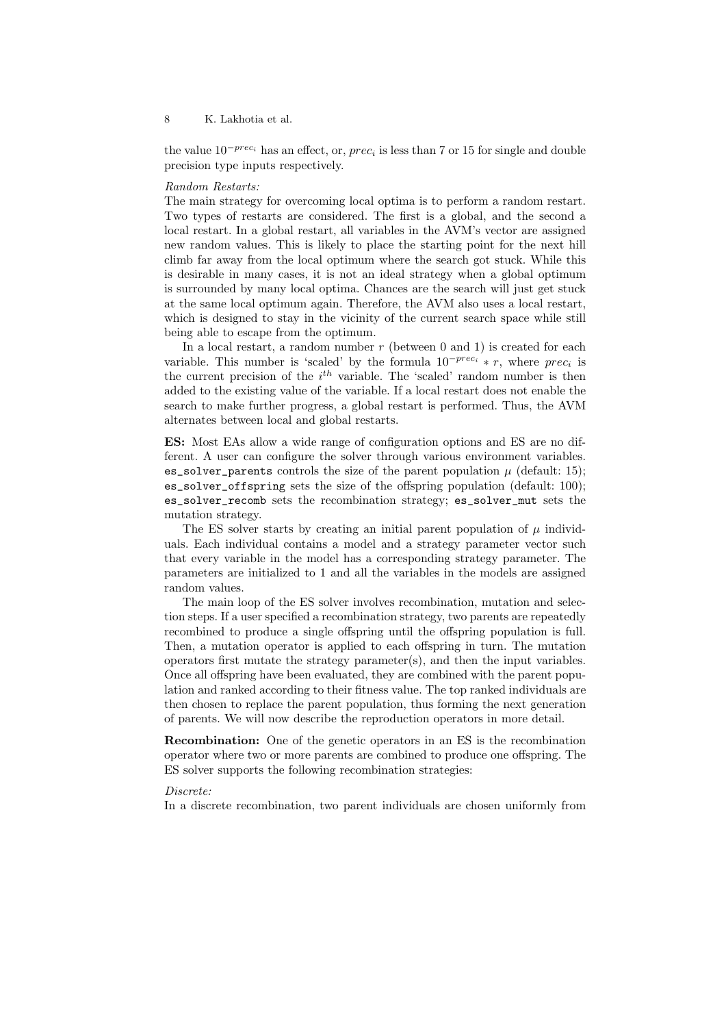the value 10*<sup>−</sup>prec<sup>i</sup>* has an effect, or, *prec<sup>i</sup>* is less than 7 or 15 for single and double precision type inputs respectively.

#### *Random Restarts:*

The main strategy for overcoming local optima is to perform a random restart. Two types of restarts are considered. The first is a global, and the second a local restart. In a global restart, all variables in the AVM's vector are assigned new random values. This is likely to place the starting point for the next hill climb far away from the local optimum where the search got stuck. While this is desirable in many cases, it is not an ideal strategy when a global optimum is surrounded by many local optima. Chances are the search will just get stuck at the same local optimum again. Therefore, the AVM also uses a local restart, which is designed to stay in the vicinity of the current search space while still being able to escape from the optimum.

In a local restart, a random number  $r$  (between  $0$  and  $1$ ) is created for each variable. This number is 'scaled' by the formula  $10^{-prec_i} * r$ , where  $prec_i$  is the current precision of the *i th* variable. The 'scaled' random number is then added to the existing value of the variable. If a local restart does not enable the search to make further progress, a global restart is performed. Thus, the AVM alternates between local and global restarts.

**ES:** Most EAs allow a wide range of configuration options and ES are no different. A user can configure the solver through various environment variables. es\_solver\_parents controls the size of the parent population  $\mu$  (default: 15); es\_solver\_offspring sets the size of the offspring population (default: 100); es\_solver\_recomb sets the recombination strategy; es\_solver\_mut sets the mutation strategy.

The ES solver starts by creating an initial parent population of  $\mu$  individuals. Each individual contains a model and a strategy parameter vector such that every variable in the model has a corresponding strategy parameter. The parameters are initialized to 1 and all the variables in the models are assigned random values.

The main loop of the ES solver involves recombination, mutation and selection steps. If a user specified a recombination strategy, two parents are repeatedly recombined to produce a single offspring until the offspring population is full. Then, a mutation operator is applied to each offspring in turn. The mutation operators first mutate the strategy parameter(s), and then the input variables. Once all offspring have been evaluated, they are combined with the parent population and ranked according to their fitness value. The top ranked individuals are then chosen to replace the parent population, thus forming the next generation of parents. We will now describe the reproduction operators in more detail.

**Recombination:** One of the genetic operators in an ES is the recombination operator where two or more parents are combined to produce one offspring. The ES solver supports the following recombination strategies:

#### *Discrete:*

In a discrete recombination, two parent individuals are chosen uniformly from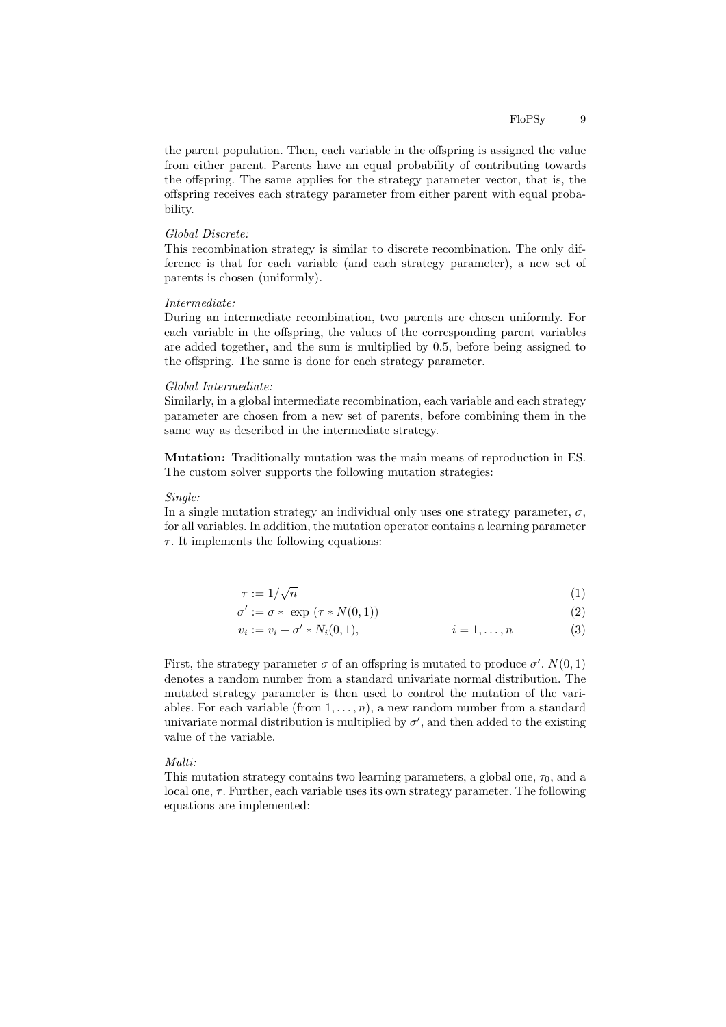the parent population. Then, each variable in the offspring is assigned the value from either parent. Parents have an equal probability of contributing towards the offspring. The same applies for the strategy parameter vector, that is, the offspring receives each strategy parameter from either parent with equal probability.

# *Global Discrete:*

This recombination strategy is similar to discrete recombination. The only difference is that for each variable (and each strategy parameter), a new set of parents is chosen (uniformly).

#### *Intermediate:*

During an intermediate recombination, two parents are chosen uniformly. For each variable in the offspring, the values of the corresponding parent variables are added together, and the sum is multiplied by 0*.*5, before being assigned to the offspring. The same is done for each strategy parameter.

## *Global Intermediate:*

Similarly, in a global intermediate recombination, each variable and each strategy parameter are chosen from a new set of parents, before combining them in the same way as described in the intermediate strategy.

**Mutation:** Traditionally mutation was the main means of reproduction in ES. The custom solver supports the following mutation strategies:

#### *Single:*

In a single mutation strategy an individual only uses one strategy parameter,  $\sigma$ , for all variables. In addition, the mutation operator contains a learning parameter  $\tau$ . It implements the following equations:

$$
\tau := 1/\sqrt{n} \tag{1}
$$

$$
\sigma' := \sigma * \exp\left(\tau * N(0, 1)\right) \tag{2}
$$

$$
v_i := v_i + \sigma' * N_i(0, 1), \qquad i = 1, ..., n \qquad (3)
$$

First, the strategy parameter  $\sigma$  of an offspring is mutated to produce  $\sigma'$ .  $N(0,1)$ denotes a random number from a standard univariate normal distribution. The mutated strategy parameter is then used to control the mutation of the variables. For each variable (from  $1, \ldots, n$ ), a new random number from a standard univariate normal distribution is multiplied by  $\sigma'$ , and then added to the existing value of the variable.

#### *Multi:*

This mutation strategy contains two learning parameters, a global one,  $\tau_0$ , and a local one,  $\tau$ . Further, each variable uses its own strategy parameter. The following equations are implemented: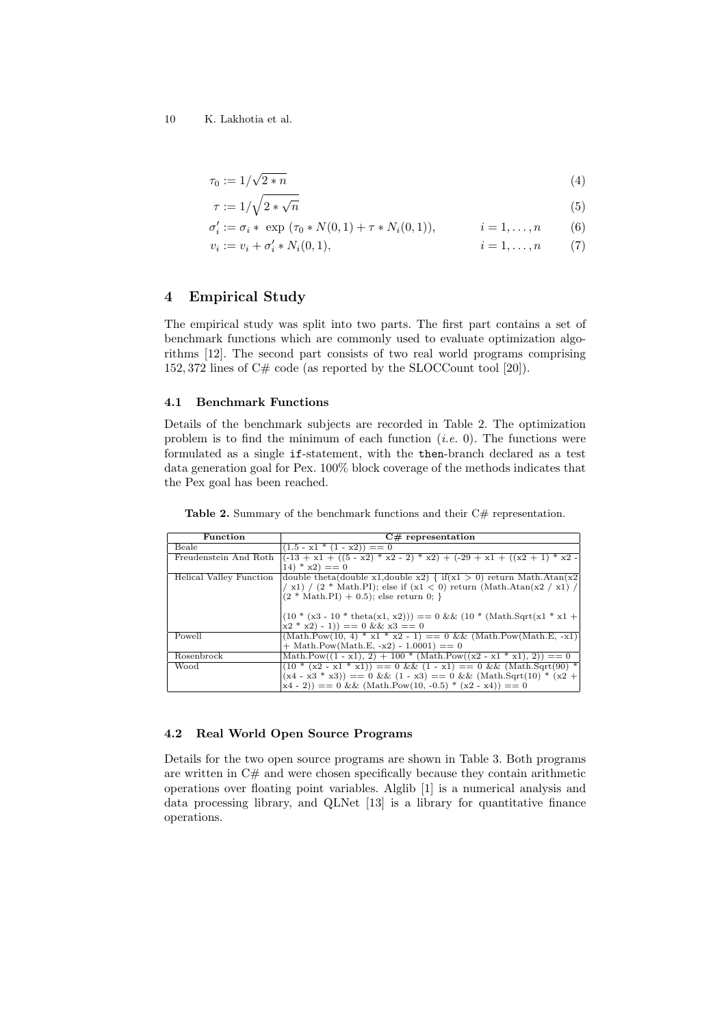$$
\tau_0 := 1/\sqrt{2*n} \tag{4}
$$

$$
\tau := 1/\sqrt{2 * \sqrt{n}}\tag{5}
$$

$$
\sigma'_i := \sigma_i * \exp(\tau_0 * N(0, 1) + \tau * N_i(0, 1)), \qquad i = 1, ..., n \qquad (6)
$$

$$
v_i := v_i + \sigma'_i * N_i(0, 1), \qquad i = 1, ..., n \qquad (7)
$$

# **4 Empirical Study**

The empirical study was split into two parts. The first part contains a set of benchmark functions which are commonly used to evaluate optimization algorithms [12]. The second part consists of two real world programs comprising 152*,* 372 lines of C# code (as reported by the SLOCCount tool [20]).

## **4.1 Benchmark Functions**

Details of the benchmark subjects are recorded in Table 2. The optimization problem is to find the minimum of each function (*i.e.* 0). The functions were formulated as a single if-statement, with the then-branch declared as a test data generation goal for Pex. 100% block coverage of the methods indicates that the Pex goal has been reached.

| <b>Function</b>         | $C#$ representation                                                                                                                 |
|-------------------------|-------------------------------------------------------------------------------------------------------------------------------------|
| Beale                   | $(1.5 - x1 * (1 - x2)) = 0$                                                                                                         |
| Freudenstein And Roth   | $\left[\left(-13 + x1 + \left((5 - x2) * x2 - 2\right) * x2\right) + \left(-29 + x1 + \left((x2 + 1) * x2 - 2\right)\right)\right]$ |
|                         | $(14) * x2 = 0$                                                                                                                     |
| Helical Valley Function | double theta(double x1, double x2) { $if(x1 > 0)$ return Math. Atan(x2)                                                             |
|                         | $\pi$ / x1) / (2 * Math.PI); else if (x1 < 0) return (Math.Atan(x2 / x1) /                                                          |
|                         | $(2 * Math.PI) + 0.5)$ ; else return 0; }                                                                                           |
|                         |                                                                                                                                     |
|                         | $(10 * (x3 - 10 * theta(x1, x2))) = 0 \& (10 * (Math.Sqrt(x1 * x1 +$                                                                |
|                         | $(x2 * x2) - 1) = 0$ & & $x3 == 0$                                                                                                  |
| Powell                  | $(Math.Pow(10, 4) * x1 * x2 - 1) == 0 && (Math.Pow(Math.E, -x1))$                                                                   |
|                         | $+$ Math.Pow(Math.E, -x2) - 1.0001) == 0                                                                                            |
| Rosenbrock              | Math.Pow( $(1 - x1)$ , 2) + 100 * (Math.Pow( $(x2 - x1 \cdot x1)$ , 2)) = = 0                                                       |
| Wood                    | $(10 * (x2 - x1 * x1)) = 0$ & (1 - x1) = 0 & (Math.Sqrt(90) *                                                                       |
|                         | $(x4 - x3 * x3)) = 0 \& (1 - x3) = 0 \& (Math.Sqrt(10) * (x2 +$                                                                     |
|                         | $(x4-2)) == 0$ & & (Math.Pow(10, -0.5) * $(x2 - x4)) == 0$                                                                          |

Table 2. Summary of the benchmark functions and their C# representation.

# **4.2 Real World Open Source Programs**

Details for the two open source programs are shown in Table 3. Both programs are written in C# and were chosen specifically because they contain arithmetic operations over floating point variables. Alglib [1] is a numerical analysis and data processing library, and QLNet [13] is a library for quantitative finance operations.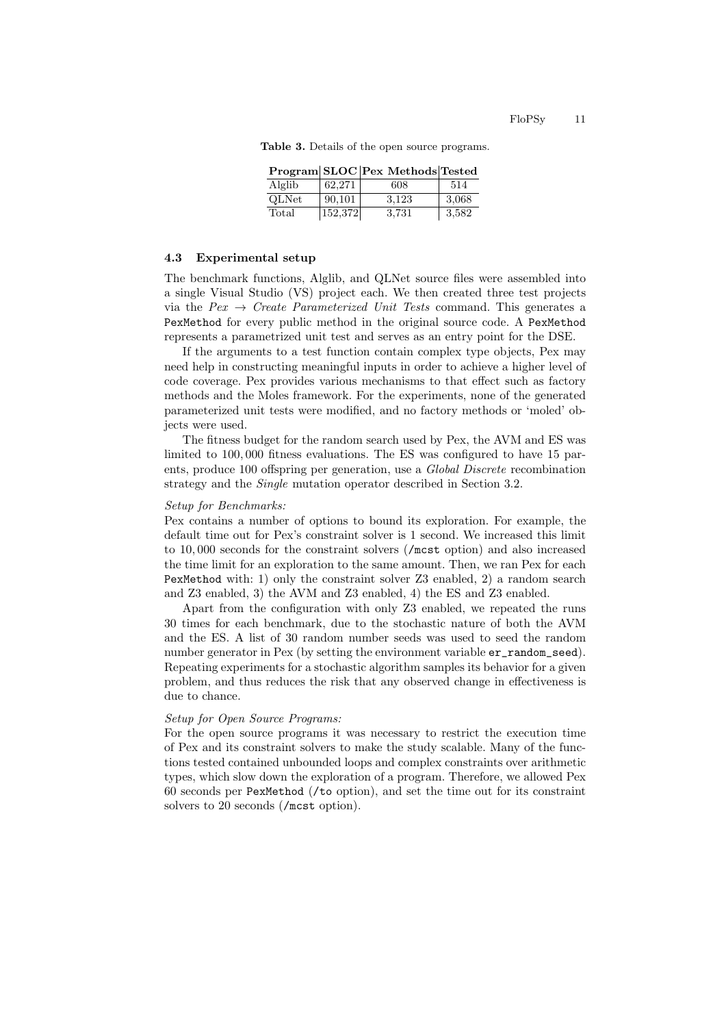|              |         | Program SLOC Pex Methods Tested |       |
|--------------|---------|---------------------------------|-------|
| Alglib       | 62.271  | 608                             | 514   |
| <b>QLNet</b> | 90.101  | 3.123                           | 3,068 |
| Total        | 152,372 | 3.731                           | 3,582 |

**Table 3.** Details of the open source programs.

#### **4.3 Experimental setup**

The benchmark functions, Alglib, and QLNet source files were assembled into a single Visual Studio (VS) project each. We then created three test projects via the  $Pex \rightarrow Create~Parameterized~Unit~ Tests~command. This generates a$ PexMethod for every public method in the original source code. A PexMethod represents a parametrized unit test and serves as an entry point for the DSE.

If the arguments to a test function contain complex type objects, Pex may need help in constructing meaningful inputs in order to achieve a higher level of code coverage. Pex provides various mechanisms to that effect such as factory methods and the Moles framework. For the experiments, none of the generated parameterized unit tests were modified, and no factory methods or 'moled' objects were used.

The fitness budget for the random search used by Pex, the AVM and ES was limited to 100*,* 000 fitness evaluations. The ES was configured to have 15 parents, produce 100 offspring per generation, use a *Global Discrete* recombination strategy and the *Single* mutation operator described in Section 3.2.

## *Setup for Benchmarks:*

Pex contains a number of options to bound its exploration. For example, the default time out for Pex's constraint solver is 1 second. We increased this limit to 10*,* 000 seconds for the constraint solvers (/mcst option) and also increased the time limit for an exploration to the same amount. Then, we ran Pex for each PexMethod with: 1) only the constraint solver Z3 enabled, 2) a random search and Z3 enabled, 3) the AVM and Z3 enabled, 4) the ES and Z3 enabled.

Apart from the configuration with only Z3 enabled, we repeated the runs 30 times for each benchmark, due to the stochastic nature of both the AVM and the ES. A list of 30 random number seeds was used to seed the random number generator in Pex (by setting the environment variable  $er\_random\_seed$ ). Repeating experiments for a stochastic algorithm samples its behavior for a given problem, and thus reduces the risk that any observed change in effectiveness is due to chance.

#### *Setup for Open Source Programs:*

For the open source programs it was necessary to restrict the execution time of Pex and its constraint solvers to make the study scalable. Many of the functions tested contained unbounded loops and complex constraints over arithmetic types, which slow down the exploration of a program. Therefore, we allowed Pex 60 seconds per PexMethod (/to option), and set the time out for its constraint solvers to 20 seconds (/mcst option).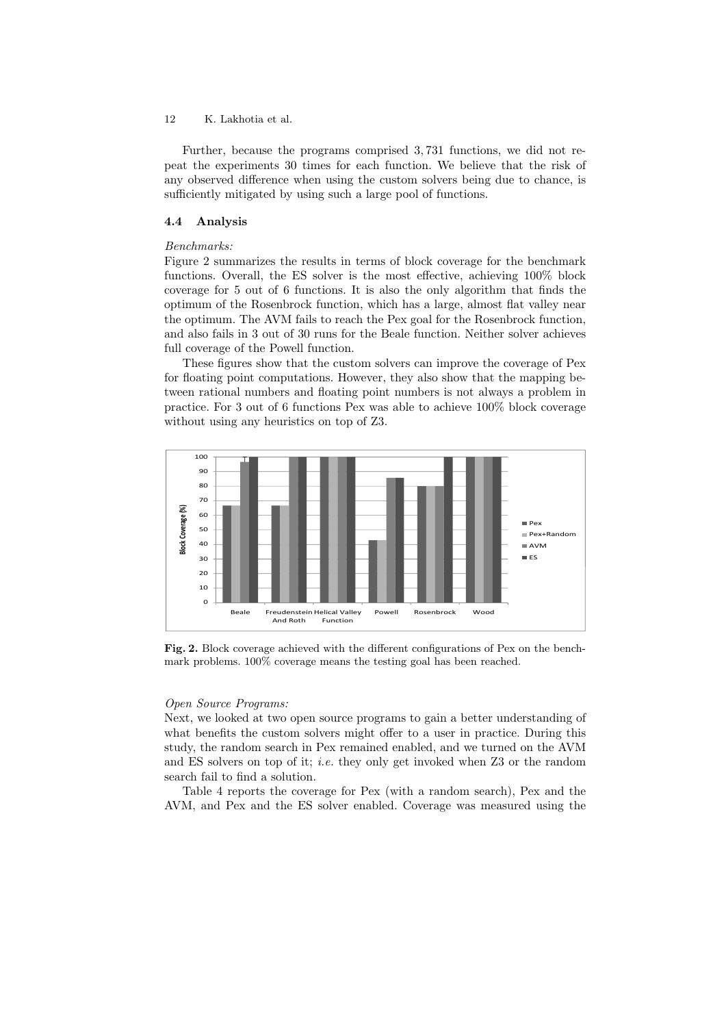Further, because the programs comprised 3*,* 731 functions, we did not repeat the experiments 30 times for each function. We believe that the risk of any observed difference when using the custom solvers being due to chance, is sufficiently mitigated by using such a large pool of functions.

## **4.4 Analysis**

### *Benchmarks:*

Figure 2 summarizes the results in terms of block coverage for the benchmark functions. Overall, the ES solver is the most effective, achieving 100% block coverage for 5 out of 6 functions. It is also the only algorithm that finds the optimum of the Rosenbrock function, which has a large, almost flat valley near the optimum. The AVM fails to reach the Pex goal for the Rosenbrock function, and also fails in 3 out of 30 runs for the Beale function. Neither solver achieves full coverage of the Powell function.

These figures show that the custom solvers can improve the coverage of Pex for floating point computations. However, they also show that the mapping between rational numbers and floating point numbers is not always a problem in practice. For 3 out of 6 functions Pex was able to achieve 100% block coverage without using any heuristics on top of Z3.



Fig. 2. Block coverage achieved with the different configurations of Pex on the benchmark problems. 100% coverage means the testing goal has been reached.

#### *Open Source Programs:*

Next, we looked at two open source programs to gain a better understanding of what benefits the custom solvers might offer to a user in practice. During this study, the random search in Pex remained enabled, and we turned on the AVM and ES solvers on top of it; *i.e.* they only get invoked when Z3 or the random search fail to find a solution.

Table 4 reports the coverage for Pex (with a random search), Pex and the AVM, and Pex and the ES solver enabled. Coverage was measured using the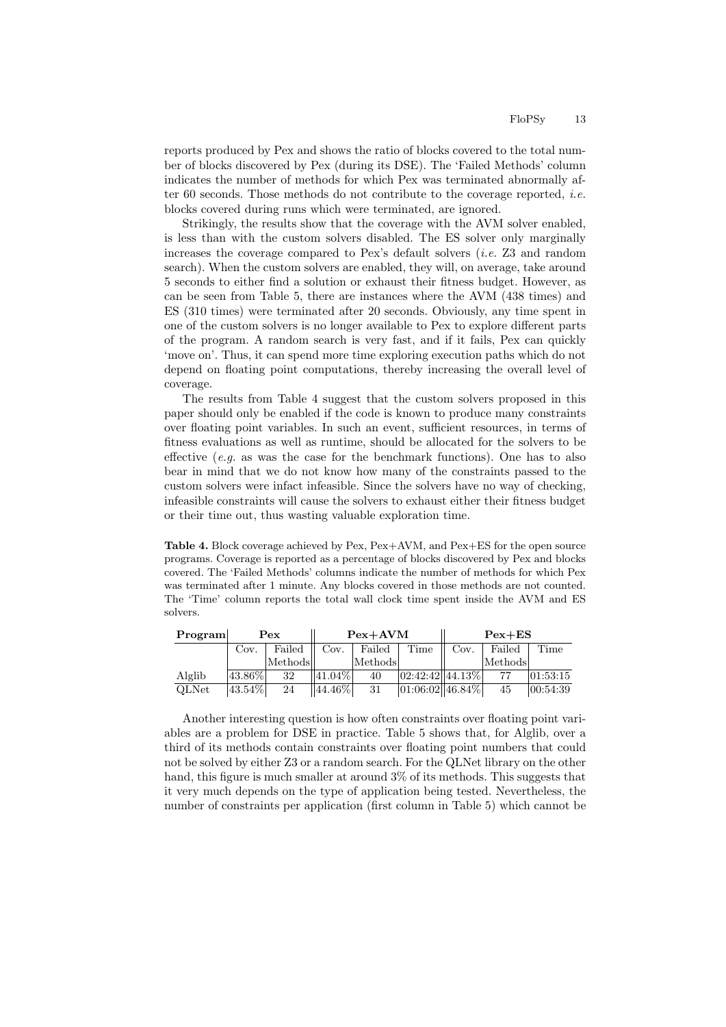reports produced by Pex and shows the ratio of blocks covered to the total number of blocks discovered by Pex (during its DSE). The 'Failed Methods' column indicates the number of methods for which Pex was terminated abnormally after 60 seconds. Those methods do not contribute to the coverage reported, *i.e.* blocks covered during runs which were terminated, are ignored.

Strikingly, the results show that the coverage with the AVM solver enabled, is less than with the custom solvers disabled. The ES solver only marginally increases the coverage compared to Pex's default solvers (*i.e.* Z3 and random search). When the custom solvers are enabled, they will, on average, take around 5 seconds to either find a solution or exhaust their fitness budget. However, as can be seen from Table 5, there are instances where the AVM (438 times) and ES (310 times) were terminated after 20 seconds. Obviously, any time spent in one of the custom solvers is no longer available to Pex to explore different parts of the program. A random search is very fast, and if it fails, Pex can quickly 'move on'. Thus, it can spend more time exploring execution paths which do not depend on floating point computations, thereby increasing the overall level of coverage.

The results from Table 4 suggest that the custom solvers proposed in this paper should only be enabled if the code is known to produce many constraints over floating point variables. In such an event, sufficient resources, in terms of fitness evaluations as well as runtime, should be allocated for the solvers to be effective (*e.g.* as was the case for the benchmark functions). One has to also bear in mind that we do not know how many of the constraints passed to the custom solvers were infact infeasible. Since the solvers have no way of checking, infeasible constraints will cause the solvers to exhaust either their fitness budget or their time out, thus wasting valuable exploration time.

**Table 4.** Block coverage achieved by Pex, Pex+AVM, and Pex+ES for the open source programs. Coverage is reported as a percentage of blocks discovered by Pex and blocks covered. The 'Failed Methods' columns indicate the number of methods for which Pex was terminated after 1 minute. Any blocks covered in those methods are not counted. The 'Time' column reports the total wall clock time spent inside the AVM and ES solvers.

| Program      | ${\rm Pex}$ |         | $Pex+AVM$     |         |                   | $Pex+ES$ |             |          |
|--------------|-------------|---------|---------------|---------|-------------------|----------|-------------|----------|
|              | Cov.        | Failed  | Cov.          | Failed  | Time              | Cov.     | Failed      | Time     |
|              |             | Methods |               | Methods |                   |          | $\rm\th{b}$ |          |
| Alglib       | $43.86\%$   | 32      | $  41.04\%  $ | 40      | 02:42:42  44.13%  |          | 77          | 01:53:15 |
| <b>OLNet</b> | $ 43.54\% $ | 24      | $\ 44.46\%$   | 31      | 01:06:02   46.84% |          | 45          | 00:54:39 |

Another interesting question is how often constraints over floating point variables are a problem for DSE in practice. Table 5 shows that, for Alglib, over a third of its methods contain constraints over floating point numbers that could not be solved by either Z3 or a random search. For the QLNet library on the other hand, this figure is much smaller at around 3% of its methods. This suggests that it very much depends on the type of application being tested. Nevertheless, the number of constraints per application (first column in Table 5) which cannot be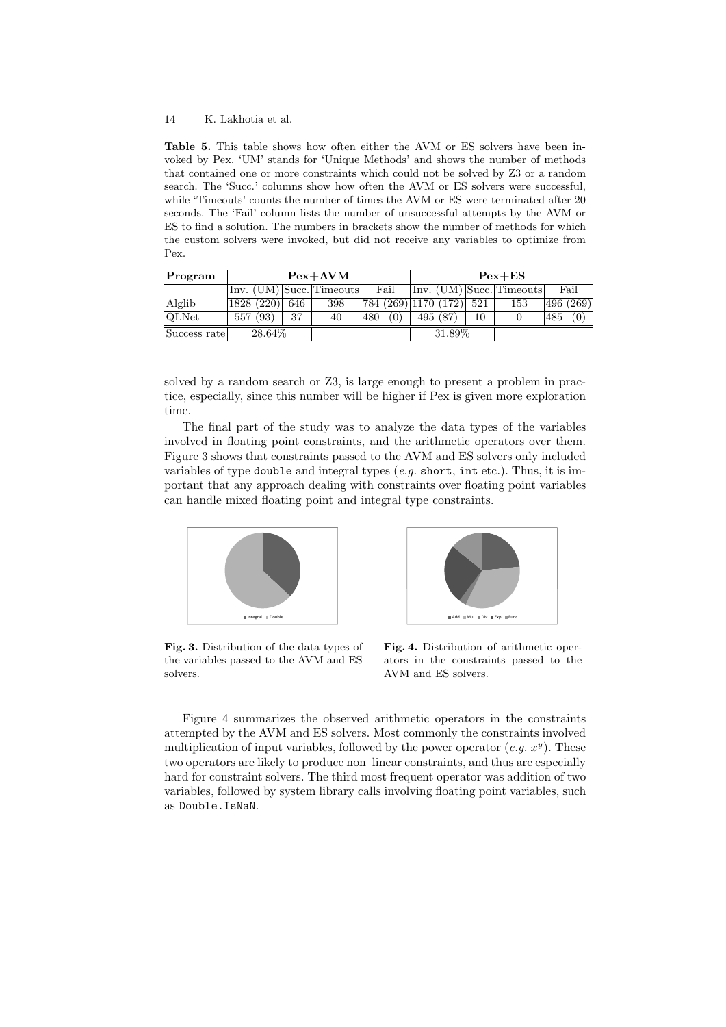**Table 5.** This table shows how often either the AVM or ES solvers have been invoked by Pex. 'UM' stands for 'Unique Methods' and shows the number of methods that contained one or more constraints which could not be solved by Z3 or a random search. The 'Succ.' columns show how often the AVM or ES solvers were successful, while 'Timeouts' counts the number of times the AVM or ES were terminated after 20 seconds. The 'Fail' column lists the number of unsuccessful attempts by the AVM or ES to find a solution. The numbers in brackets show the number of methods for which the custom solvers were invoked, but did not receive any variables to optimize from Pex.

| Program      | $Pex+AVM$                |     |     |             | $Pex+ES$                 |     |     |            |
|--------------|--------------------------|-----|-----|-------------|--------------------------|-----|-----|------------|
|              | Inv. (UM) Succ. Timeouts |     |     | Fail        | Inv. (UM) Succ. Timeouts |     |     | Fail       |
| Alglib       | 1828(220)                | 646 | 398 |             | 784 (269) 1170 (172)     | 521 | 153 | 496 (269)  |
| <b>OLNet</b> | 557 (93)                 | 37  | 40  | (0)<br>ı480 | 495 (87)                 | 10  |     | (0)<br>485 |
| Success rate | 28.64\%                  |     |     |             | 31.89%                   |     |     |            |

solved by a random search or Z3, is large enough to present a problem in practice, especially, since this number will be higher if Pex is given more exploration time.

The final part of the study was to analyze the data types of the variables involved in floating point constraints, and the arithmetic operators over them. Figure 3 shows that constraints passed to the AVM and ES solvers only included variables of type double and integral types (*e.g.* short, int etc.). Thus, it is important that any approach dealing with constraints over floating point variables can handle mixed floating point and integral type constraints.



**Fig. 3.** Distribution of the data types of the variables passed to the AVM and ES Integral IBouble<br>
Fig. 3. Distribution of the data types of<br>
the variables passed to the AVM and ES<br>
solvers.<br>
AVM and ES solvers.

**Fig. 4.** Distribution of arithmetic operators in the constraints passed to the AVM and ES solvers.

Figure 4 summarizes the observed arithmetic operators in the constraints attempted by the AVM and ES solvers. Most commonly the constraints involved multiplication of input variables, followed by the power operator  $(e.g. x^y)$ . These two operators are likely to produce non–linear constraints, and thus are especially hard for constraint solvers. The third most frequent operator was addition of two variables, followed by system library calls involving floating point variables, such as Double.IsNaN.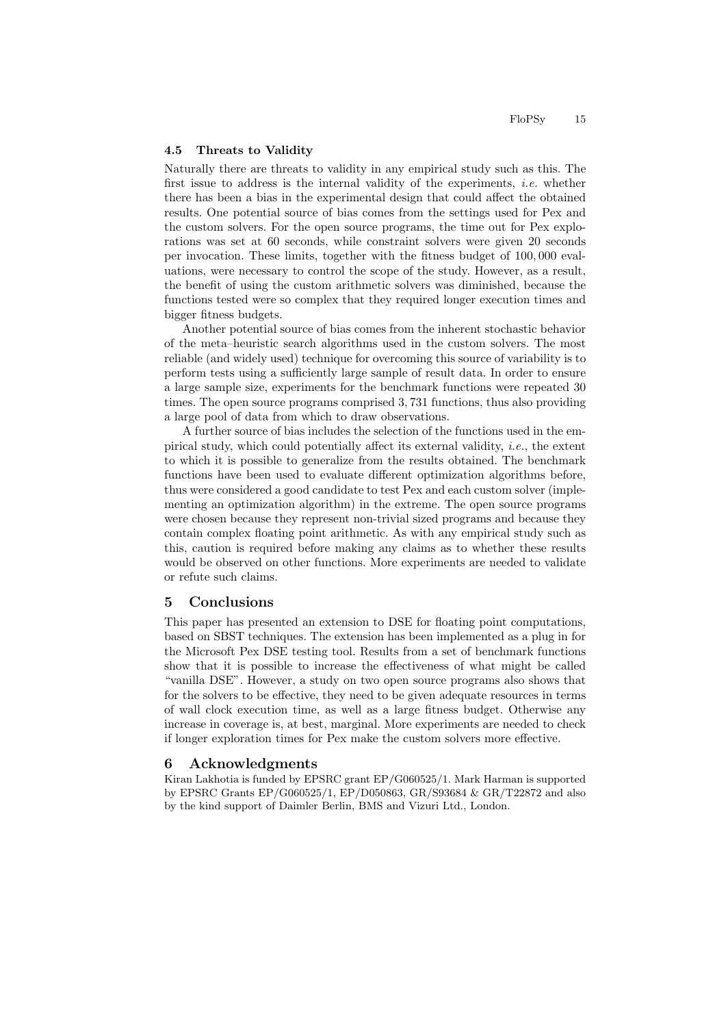## **4.5 Threats to Validity**

Naturally there are threats to validity in any empirical study such as this. The first issue to address is the internal validity of the experiments, *i.e.* whether there has been a bias in the experimental design that could affect the obtained results. One potential source of bias comes from the settings used for Pex and the custom solvers. For the open source programs, the time out for Pex explorations was set at 60 seconds, while constraint solvers were given 20 seconds per invocation. These limits, together with the fitness budget of 100*,* 000 evaluations, were necessary to control the scope of the study. However, as a result, the benefit of using the custom arithmetic solvers was diminished, because the functions tested were so complex that they required longer execution times and bigger fitness budgets.

Another potential source of bias comes from the inherent stochastic behavior of the meta–heuristic search algorithms used in the custom solvers. The most reliable (and widely used) technique for overcoming this source of variability is to perform tests using a sufficiently large sample of result data. In order to ensure a large sample size, experiments for the benchmark functions were repeated 30 times. The open source programs comprised 3*,* 731 functions, thus also providing a large pool of data from which to draw observations.

A further source of bias includes the selection of the functions used in the empirical study, which could potentially affect its external validity, *i.e.*, the extent to which it is possible to generalize from the results obtained. The benchmark functions have been used to evaluate different optimization algorithms before, thus were considered a good candidate to test Pex and each custom solver (implementing an optimization algorithm) in the extreme. The open source programs were chosen because they represent non-trivial sized programs and because they contain complex floating point arithmetic. As with any empirical study such as this, caution is required before making any claims as to whether these results would be observed on other functions. More experiments are needed to validate or refute such claims.

## **5 Conclusions**

This paper has presented an extension to DSE for floating point computations, based on SBST techniques. The extension has been implemented as a plug in for the Microsoft Pex DSE testing tool. Results from a set of benchmark functions show that it is possible to increase the effectiveness of what might be called "vanilla DSE". However, a study on two open source programs also shows that for the solvers to be effective, they need to be given adequate resources in terms of wall clock execution time, as well as a large fitness budget. Otherwise any increase in coverage is, at best, marginal. More experiments are needed to check if longer exploration times for Pex make the custom solvers more effective.

#### **6 Acknowledgments**

Kiran Lakhotia is funded by EPSRC grant EP/G060525/1. Mark Harman is supported by EPSRC Grants EP/G060525/1, EP/D050863, GR/S93684 & GR/T22872 and also by the kind support of Daimler Berlin, BMS and Vizuri Ltd., London.